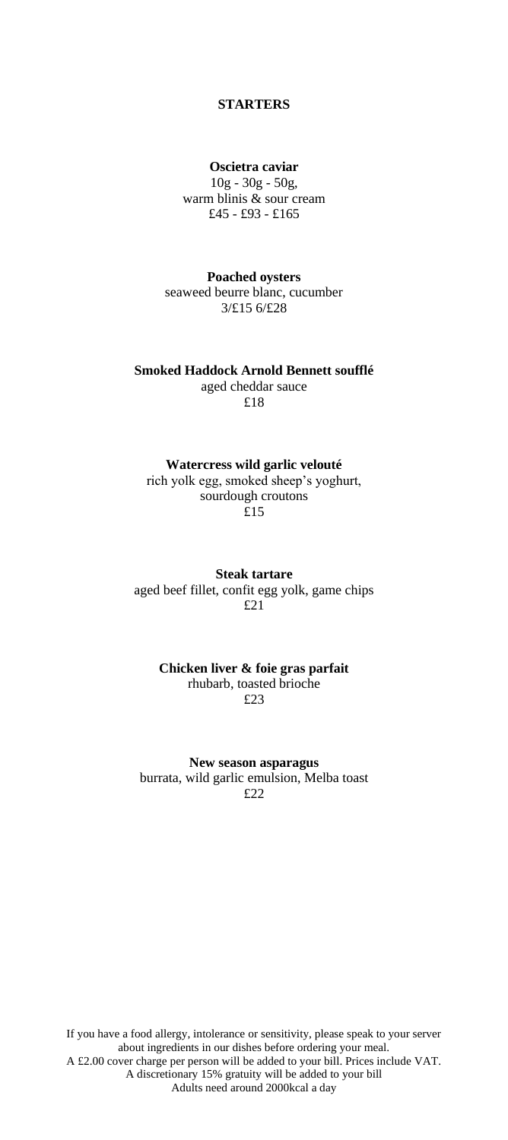## **STARTERS**

#### **Oscietra caviar**

10g - 30g - 50g, warm blinis & sour cream £45 - £93 - £165

**Poached oysters** seaweed beurre blanc, cucumber 3/£15 6/£28

**Smoked Haddock Arnold Bennett soufflé** aged cheddar sauce £18

## **Watercress wild garlic velouté**

rich yolk egg, smoked sheep's yoghurt, sourdough croutons £15

**Steak tartare** aged beef fillet, confit egg yolk, game chips £21

#### **Chicken liver & foie gras parfait** rhubarb, toasted brioche £23

**New season asparagus**

burrata, wild garlic emulsion, Melba toast £22

If you have a food allergy, intolerance or sensitivity, please speak to your server about ingredients in our dishes before ordering your meal. A £2.00 cover charge per person will be added to your bill. Prices include VAT. A discretionary 15% gratuity will be added to your bill Adults need around 2000kcal a day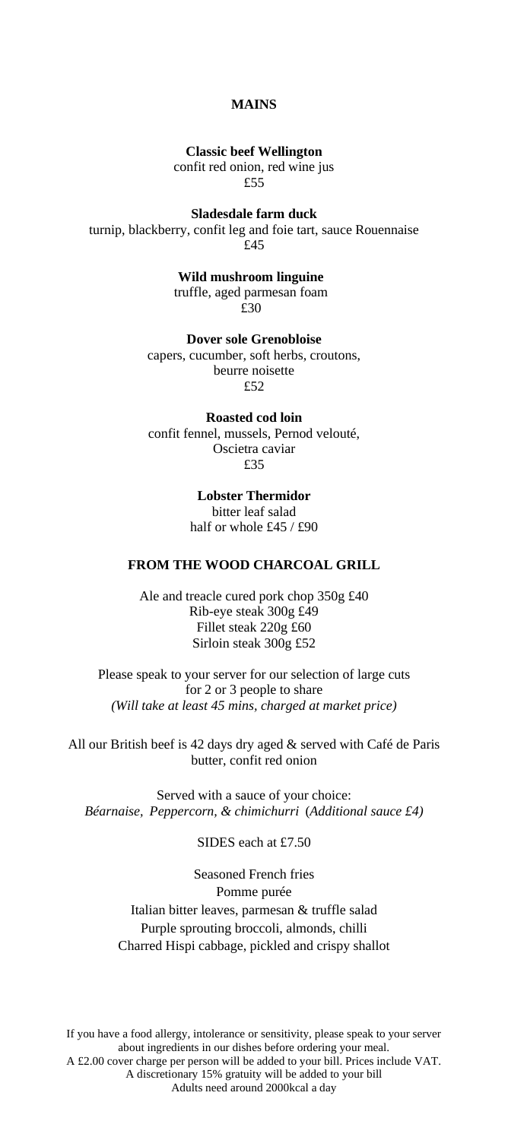# **MAINS**

**Classic beef Wellington**

confit red onion, red wine jus £55

**Sladesdale farm duck**

turnip, blackberry, confit leg and foie tart, sauce Rouennaise £45

> **Wild mushroom linguine** truffle, aged parmesan foam £30

**Dover sole Grenobloise** capers, cucumber, soft herbs, croutons, beurre noisette  $f52$ 

**Roasted cod loin** confit fennel, mussels, Pernod velouté, Oscietra caviar £35

> **Lobster Thermidor** bitter leaf salad half or whole £45 / £90

### **FROM THE WOOD CHARCOAL GRILL**

Ale and treacle cured pork chop 350g £40 Rib-eye steak 300g £49 Fillet steak 220g £60 Sirloin steak 300g £52

Please speak to your server for our selection of large cuts for 2 or 3 people to share *(Will take at least 45 mins, charged at market price)*

All our British beef is 42 days dry aged & served with Café de Paris butter, confit red onion

Served with a sauce of your choice: *Béarnaise, Peppercorn, & chimichurri* (*Additional sauce £4)*

SIDES each at £7.50

Seasoned French fries Pomme purée Italian bitter leaves, parmesan & truffle salad Purple sprouting broccoli, almonds, chilli Charred Hispi cabbage, pickled and crispy shallot

If you have a food allergy, intolerance or sensitivity, please speak to your server about ingredients in our dishes before ordering your meal. A £2.00 cover charge per person will be added to your bill. Prices include VAT. A discretionary 15% gratuity will be added to your bill Adults need around 2000kcal a day